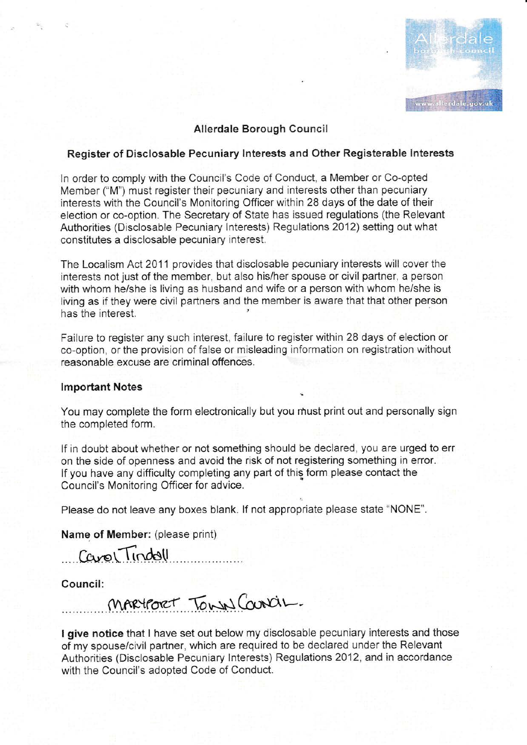

### Allerdale Borough Council

# Register of Disclosable Pecuniary lnterests and Other Registerable lnterests

ln order to comply with the Council's Code of Conduct, a Member or Co-opted Member ("M") must register their pecuniary and interests other than pecuniary interests with the Council's Monitoring Officer within 28 days of the date of their election or co-option, The Secretary of State has issued regulations (the Relevant Authorities (Disclosable Pecuniary lnterests) Regulations 2012) setting out what constitutes a disclosable pecuniary interest.

The Localism Act 2011 provides that disclosable pecuniary interests will cover the interests not just of the member, but also his/her spouse or civil partner, a person with whom he/she is living as husband and wife or a person with whom he/she is living as if they were civil partners and the member is aware that that other person has the interest.

Failure to register any such interest, failure to register within 28 days of election or co-option, or the provision of false or misleading information on registration without reasonable excuse are criminal offences.

#### **Important Notes**

You may complete the form electronically but you must print out and personally sign the completed form.

If in doubt about whether or not something should be declared, you are urged to err on the side of openness and avoid the risk of not registering something in error. If you have any difficulty completing any part of this form please contact the Council's Monitoring Officer for advice.

Please do not leave any boxes blank. lf not appropriate please state ''NONE".

Name of Member: (please print)

Carol Tindol

Council:

 $M$ ARYFORT TOWN  $G$ unciL.

I give notice that I have set out below my disclosable pecuniary interests and those of nny spouse/civil partner, which are required to be declared urnder the Relevant Authorities (Disclosable Pecuniary lnteresis) Regulations 2012, and in accordance with the Council's adopted Code of Conduct.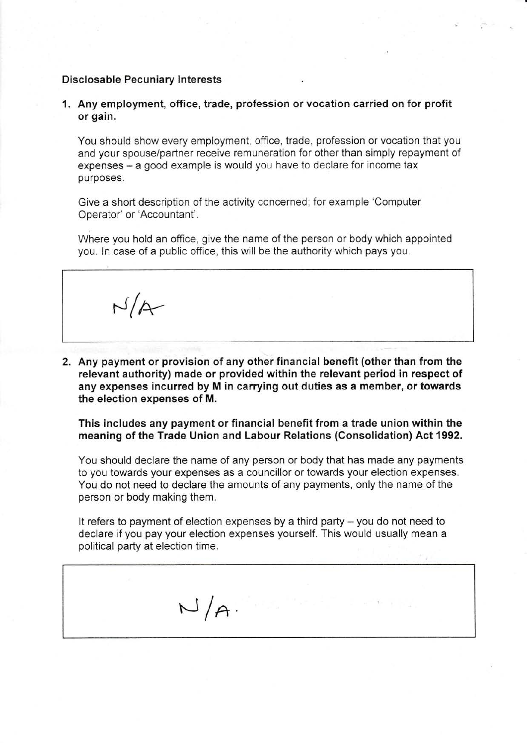### Disclosable Pecuniary lnterests

1. Any employment, office, trade, profession orvocation carried on for profit or gain,

You should show every employment, office, trade, profession or vocation that you and your spouse/partner receive remuneration for other than simply repayment of expenses – a good example is would you have to declare for income tax purposes.

Give a short description of the activity concerned; for example 'Computer Operator' or'Accountant'.

Where you hold an office, give the name of the person or body which appointed you. In case of a public office, this will be the authority which pays you.

 $N/A$ 

2. Any payment or provision of any other financial benefit (other than from the relevant authority) made or provided within the relevant period in respect of any expenses incurred by M in carrying out duties as a member, or towards the election expenses of M.

This includes any payment or financial benefit from a trade union within the meaning of the Trade Union and Labour Relations (Consolidation) Act 1992.

You should declare the name of any person or body that has made any payments to you towards your expenses as a councillor or towards your election expenses. You do not need to declare the amounts of any payments, only the name of the person or body making them.

It refers to payment of election expenses by a third party - you do not need to declare if you pay your election expenses yourself. This would usually mean a political party at election time.

 $N/A$ .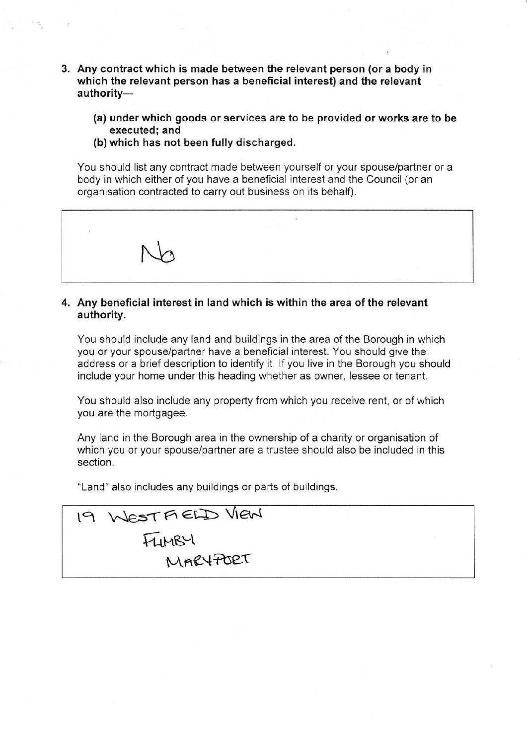- 3. Any contract which is made between the relevant person (or a body in which the relevant person has a beneficial interest) and the relevant authority-
	- (a) under which goods or services are to be provided or works are to be executed; and
	- (b) which has not been fully discharged.

You should list any contract made between yourself or your spouse/partner or a body in which either of you have a beneficial interest and the Council (or an organisation contracted to carry out business on its behalf).



### 4. Any beneficial interest in land which is within the area of the relevant authority.

You should include any land and buildings in the area of the Borough in which you or your spouse/partner have a beneficial interest. You should give the address or a brief description to identify it. lf you live in the Borough you should include your home under this heading whether as owner, lessee or tenant.

You should also include any property from which you receive rent, or of which you are the mortgagee.

Any land in the Borough area in the ownership of a charity or organisation of which you or your spouse/partner are a trustee should also be included in this section.

"Land" also includes any buildings or parts of buildings.

19 WESTFIELD VIEN FUMBY MAR4PORT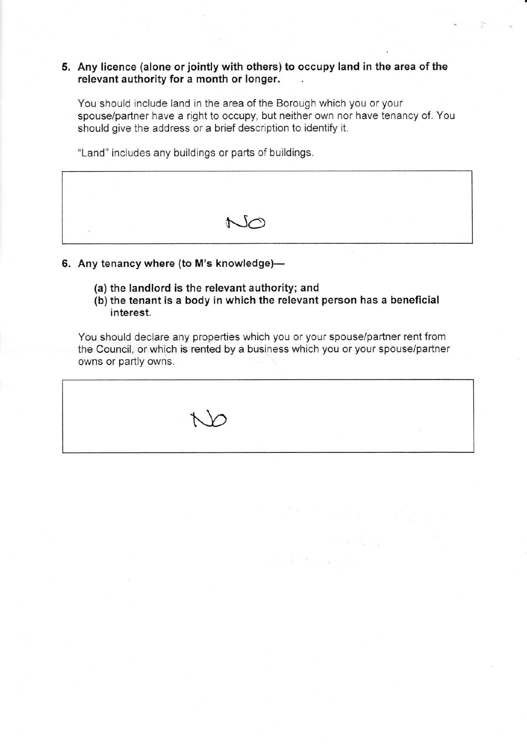## 5. Any licence (alone or jointly with others) to occupy land in the area of the relevant authority for a month or longer.

You should include land in the area of the Borough which you or your spouse/partner have a right to occupy, but neither own nor have tenancy of. You should give the address or a brief description to identify it.

"Land" includes any buildings or pants of buildings.



- 6. Any tenancy where (to M's knowledge)-
	- (a) the landlord is the relevant authority; and
	- (b) the tenant is a body in which the relevant person has a beneficial interest.

You should declare any properties which you or your spouse/partner rent from the Council, or which is rented by a business which you or your spouse/partner owns or partly owns.

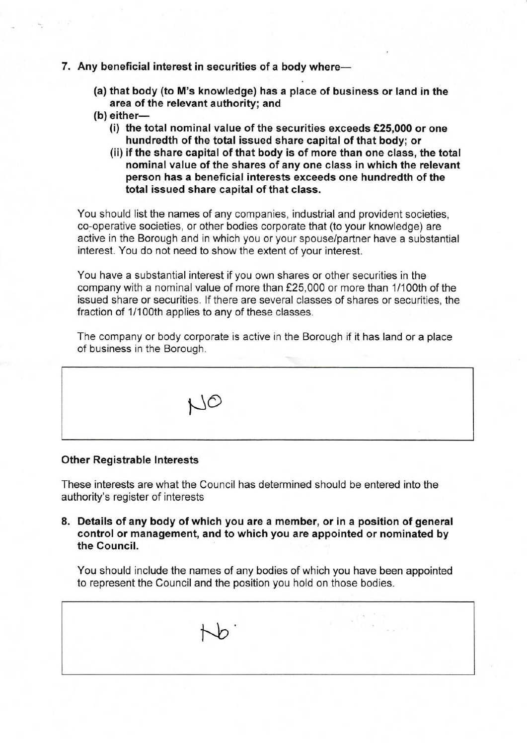- 7. Any beneficial interest in securities of a body where-
	- (a) that body (to M's knowtedge) has a place of business or land in the area of the relevant authority; and
	- $(b)$  either-
		- (i) the total nominal value of the securities exceeds £25,000 or one hundredth of the total issued share capital of that body; or
		- (ii) if the share capital of that body is of more than one class, the total nominal value of the shares of any one class in which the relevant person has a beneficial interests exceeds one hundredth of the total issued share capital of that class.

You should list the names of any companies, industrial and provident societies, co-operative societies, or other bodles corporate that (to your knowledge) are active in the Borough and in which you or your spouse/partner have a substantial interest. You do not need to show the extent of your interest.

You have a substantial interest if you own shares or other securities in the company with a nominal value of more than f25,000 or more than 1/100th of the issued share or securities. lf there are severai classes of shares or securities, the fraction of 1/100th applies to any of these classes.

The company or body corporate is active in the Borough if it has land or a place of business in the Borough.



### Other Registrable lnterests

These interests are what the Council has determined should be entered into the authority's register of interests

8. Details of any body of which you are a member, or in a position of general control or management, and to which you are appointed or nominated by the Council.

You should include the names of any bodies of which you have been appointed to represent the Council and the position you hold on those bodies.

 $\downarrow$